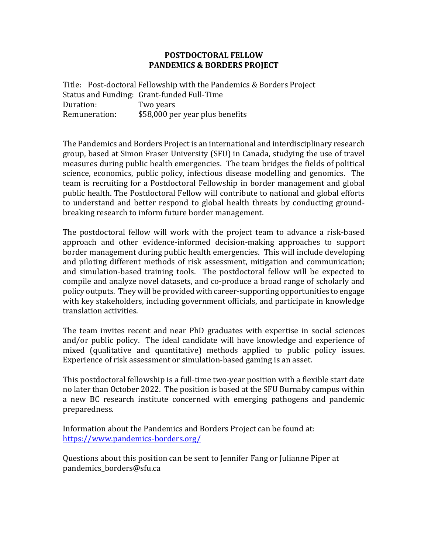## **POSTDOCTORAL FELLOW PANDEMICS & BORDERS PROJECT**

Title: Post-doctoral Fellowship with the Pandemics & Borders Project Status and Funding: Grant-funded Full-Time Duration: Two years Remuneration: \$58,000 per year plus benefits

The Pandemics and Borders Project is an international and interdisciplinary research group, based at Simon Fraser University (SFU) in Canada, studying the use of travel measures during public health emergencies. The team bridges the fields of political science, economics, public policy, infectious disease modelling and genomics. The team is recruiting for a Postdoctoral Fellowship in border management and global public health. The Postdoctoral Fellow will contribute to national and global efforts to understand and better respond to global health threats by conducting groundbreaking research to inform future border management.

The postdoctoral fellow will work with the project team to advance a risk-based approach and other evidence-informed decision-making approaches to support border management during public health emergencies. This will include developing and piloting different methods of risk assessment, mitigation and communication; and simulation-based training tools. The postdoctoral fellow will be expected to compile and analyze novel datasets, and co-produce a broad range of scholarly and policy outputs. They will be provided with career-supporting opportunities to engage with key stakeholders, including government officials, and participate in knowledge translation activities.

The team invites recent and near PhD graduates with expertise in social sciences and/or public policy. The ideal candidate will have knowledge and experience of mixed (qualitative and quantitative) methods applied to public policy issues. Experience of risk assessment or simulation-based gaming is an asset.

This postdoctoral fellowship is a full-time two-year position with a flexible start date no later than October 2022. The position is based at the SFU Burnaby campus within a new BC research institute concerned with emerging pathogens and pandemic preparedness.

Information about the Pandemics and Borders Project can be found at: <https://www.pandemics-borders.org/>

Questions about this position can be sent to Jennifer Fang or Julianne Piper at pandemics\_borders@sfu.ca